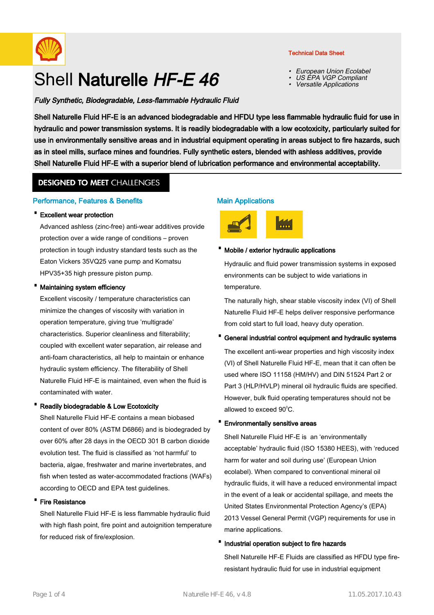

# Shell Naturelle HF-E 46

# Fully Synthetic, Biodegradable, Less-flammable Hydraulic Fluid

Technical Data Sheet

- European Union Ecolabel
- •US EPA VGP Compliant
- •Versatile Applications

Shell Naturelle Fluid HF-E is an advanced biodegradable and HFDU type less flammable hydraulic fluid for use in hydraulic and power transmission systems. It is readily biodegradable with a low ecotoxicity, particularly suited for use in environmentally sensitive areas and in industrial equipment operating in areas subject to fire hazards, such as in steel mills, surface mines and foundries. Fully synthetic esters, blended with ashless additives, provide Shell Naturelle Fluid HF-E with a superior blend of lubrication performance and environmental acceptability.

# **DESIGNED TO MEET CHALLENGES**

## Performance, Features & Benefits

## · Excellent wear protection

Advanced ashless (zinc-free) anti-wear additives provide protection over a wide range of conditions – proven protection in tough industry standard tests such as the Eaton Vickers 35VQ25 vane pump and Komatsu HPV35+35 high pressure piston pump.

#### Maintaining system efficiency

Excellent viscosity / temperature characteristics can minimize the changes of viscosity with variation in operation temperature, giving true 'multigrade' characteristics. Superior cleanliness and filterability; coupled with excellent water separation, air release and anti-foam characteristics, all help to maintain or enhance hydraulic system efficiency. The filterability of Shell Naturelle Fluid HF-E is maintained, even when the fluid is contaminated with water.

# Readily biodegradable & Low Ecotoxicity

Shell Naturelle Fluid HF-E contains a mean biobased content of over 80% (ASTM D6866) and is biodegraded by over 60% after 28 days in the OECD 301 B carbon dioxide evolution test. The fluid is classified as 'not harmful' to bacteria, algae, freshwater and marine invertebrates, and fish when tested as water-accommodated fractions (WAFs) according to OECD and EPA test guidelines.

#### **Fire Resistance**

Shell Naturelle Fluid HF-E is less flammable hydraulic fluid with high flash point, fire point and autoignition temperature for reduced risk of fire/explosion.

# Main Applications



## · Mobile / exterior hydraulic applications

Hydraulic and fluid power transmission systems in exposed environments can be subject to wide variations in temperature.

The naturally high, shear stable viscosity index (VI) of Shell Naturelle Fluid HF-E helps deliver responsive performance from cold start to full load, heavy duty operation.

# General industrial control equipment and hydraulic systems

The excellent anti-wear properties and high viscosity index (VI) of Shell Naturelle Fluid HF-E, mean that it can often be used where ISO 11158 (HM/HV) and DIN 51524 Part 2 or Part 3 (HLP/HVLP) mineral oil hydraulic fluids are specified. However, bulk fluid operating temperatures should not be allowed to exceed  $90^{\circ}$ C.

#### Environmentally sensitive areas

Shell Naturelle Fluid HF-E is an 'environmentally acceptable' hydraulic fluid (ISO 15380 HEES), with 'reduced harm for water and soil during use' (European Union ecolabel). When compared to conventional mineral oil hydraulic fluids, it will have a reduced environmental impact in the event of a leak or accidental spillage, and meets the United States Environmental Protection Agency's (EPA) 2013 Vessel General Permit (VGP) requirements for use in marine applications.

# ·Industrial operation subject to fire hazards

Shell Naturelle HF-E Fluids are classified as HFDU type fireresistant hydraulic fluid for use in industrial equipment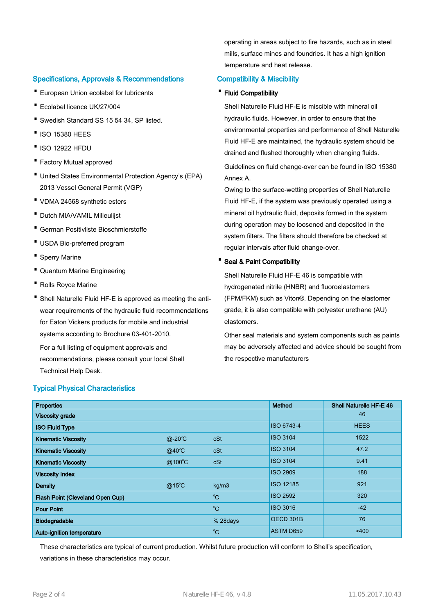# Specifications, Approvals & Recommendations

- · European Union ecolabel for lubricants
- · Ecolabel licence UK/27/004
- · Swedish Standard SS 15 54 34, SP listed.
- ·ISO 15380 HEES
- ·ISO 12922 HFDU
- · Factory Mutual approved
- United States Environmental Protection Agency's (EPA) 2013 Vessel General Permit (VGP)
- · VDMA 24568 synthetic esters
- · Dutch MIA/VAMIL Milieulijst
- · German Positivliste Bioschmierstoffe
- · USDA Bio-preferred program
- · Sperry Marine
- · Quantum Marine Engineering
- · Rolls Royce Marine
- Shell Naturelle Fluid HF-E is approved as meeting the antiwear requirements of the hydraulic fluid recommendations for Eaton Vickers products for mobile and industrial systems according to Brochure 03-401-2010.

For a full listing of equipment approvals and recommendations, please consult your local Shell Technical Help Desk.

#### Typical Physical Characteristics

operating in areas subject to fire hazards, such as in steel mills, surface mines and foundries. It has a high ignition temperature and heat release.

## Compatibility & Miscibility

#### · Fluid Compatibility

Shell Naturelle Fluid HF-E is miscible with mineral oil hydraulic fluids. However, in order to ensure that the environmental properties and performance of Shell Naturelle Fluid HF-E are maintained, the hydraulic system should be drained and flushed thoroughly when changing fluids.

Guidelines on fluid change-over can be found in ISO 15380 Annex A.

Owing to the surface-wetting properties of Shell Naturelle Fluid HF-E, if the system was previously operated using a mineral oil hydraulic fluid, deposits formed in the system during operation may be loosened and deposited in the system filters. The filters should therefore be checked at regular intervals after fluid change-over.

## · Seal & Paint Compatibility

Shell Naturelle Fluid HF-E 46 is compatible with hydrogenated nitrile (HNBR) and fluoroelastomers (FPM/FKM) such as Viton®. Depending on the elastomer grade, it is also compatible with polyester urethane (AU) elastomers.

Other seal materials and system components such as paints may be adversely affected and advice should be sought from the respective manufacturers

| <b>Properties</b>                |                 |              | Method           | <b>Shell Naturelle HF-E 46</b> |
|----------------------------------|-----------------|--------------|------------------|--------------------------------|
| <b>Viscosity grade</b>           |                 |              |                  | 46                             |
| <b>ISO Fluid Type</b>            |                 |              | ISO 6743-4       | <b>HEES</b>                    |
| <b>Kinematic Viscosity</b>       | $@-20^{\circ}C$ | cSt          | <b>ISO 3104</b>  | 1522                           |
| <b>Kinematic Viscosity</b>       | $@40^{\circ}$ C | cSt          | <b>ISO 3104</b>  | 47.2                           |
| <b>Kinematic Viscosity</b>       | @100°C          | cSt          | <b>ISO 3104</b>  | 9.41                           |
| <b>Viscosity Index</b>           |                 |              | <b>ISO 2909</b>  | 188                            |
| <b>Density</b>                   | $@15^{\circ}$ C | kg/m3        | <b>ISO 12185</b> | 921                            |
| Flash Point (Cleveland Open Cup) |                 | $^{\circ}$ C | <b>ISO 2592</b>  | 320                            |
| <b>Pour Point</b>                |                 | $^{\circ}C$  | <b>ISO 3016</b>  | $-42$                          |
| Biodegradable                    |                 | % 28days     | OECD 301B        | 76                             |
| Auto-ignition temperature        |                 | $^{\circ}C$  | <b>ASTM D659</b> | >400                           |

These characteristics are typical of current production. Whilst future production will conform to Shell's specification, variations in these characteristics may occur.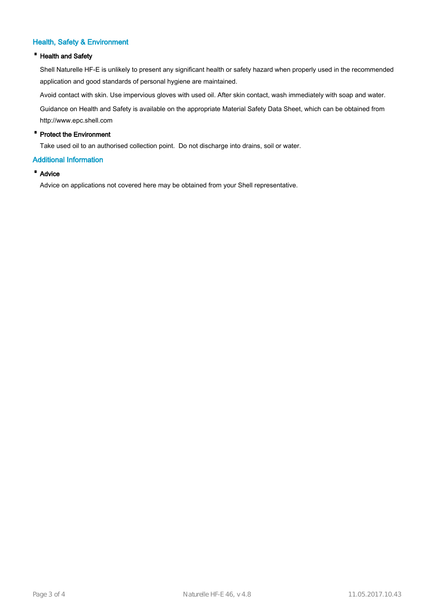# Health, Safety & Environment

## · Health and Safety

Shell Naturelle HF-E is unlikely to present any significant health or safety hazard when properly used in the recommended application and good standards of personal hygiene are maintained.

Avoid contact with skin. Use impervious gloves with used oil. After skin contact, wash immediately with soap and water.

Guidance on Health and Safety is available on the appropriate Material Safety Data Sheet, which can be obtained from http://www.epc.shell.com

## · Protect the Environment

Take used oil to an authorised collection point. Do not discharge into drains, soil or water.

#### Additional Information

## · Advice

Advice on applications not covered here may be obtained from your Shell representative.